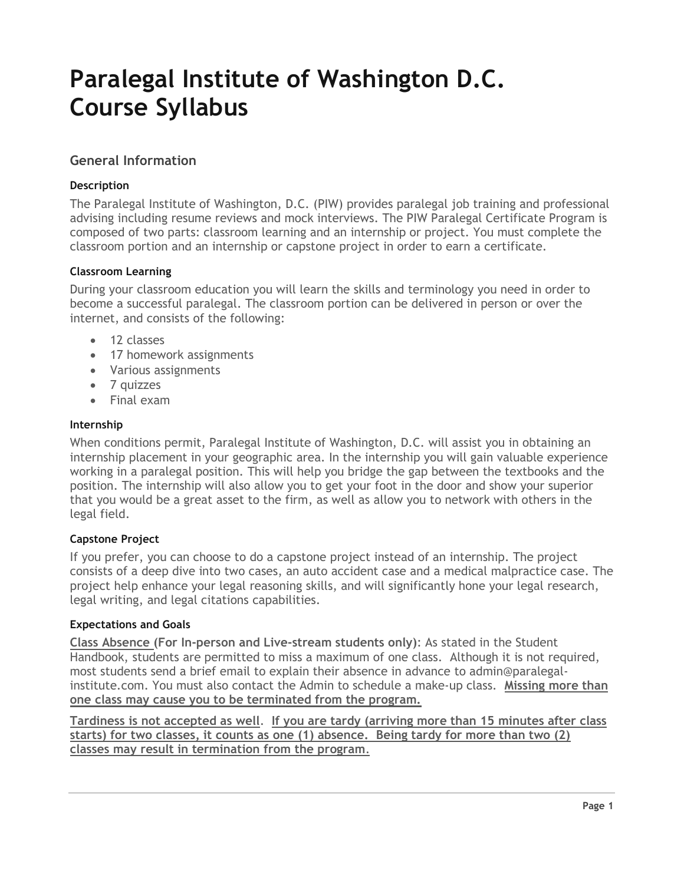# **Paralegal Institute of Washington D.C. Course Syllabus**

# **General Information**

## **Description**

The Paralegal Institute of Washington, D.C. (PIW) provides paralegal job training and professional advising including resume reviews and mock interviews. The PIW Paralegal Certificate Program is composed of two parts: classroom learning and an internship or project. You must complete the classroom portion and an internship or capstone project in order to earn a certificate.

## **Classroom Learning**

During your classroom education you will learn the skills and terminology you need in order to become a successful paralegal. The classroom portion can be delivered in person or over the internet, and consists of the following:

- 12 classes
- 17 homework assignments
- Various assignments
- 7 quizzes
- Final exam

#### **Internship**

When conditions permit, Paralegal Institute of Washington, D.C. will assist you in obtaining an internship placement in your geographic area. In the internship you will gain valuable experience working in a paralegal position. This will help you bridge the gap between the textbooks and the position. The internship will also allow you to get your foot in the door and show your superior that you would be a great asset to the firm, as well as allow you to network with others in the legal field.

## **Capstone Project**

If you prefer, you can choose to do a capstone project instead of an internship. The project consists of a deep dive into two cases, an auto accident case and a medical malpractice case. The project help enhance your legal reasoning skills, and will significantly hone your legal research, legal writing, and legal citations capabilities.

## **Expectations and Goals**

**Class Absence (For In-person and Live-stream students only)**: As stated in the Student Handbook, students are permitted to miss a maximum of one class. Although it is not required, most students send a brief email to explain their absence in advance to admin@paralegalinstitute.com. You must also contact the Admin to schedule a make-up class. **Missing more than one class may cause you to be terminated from the program.** 

**Tardiness is not accepted as well**. **If you are tardy (arriving more than 15 minutes after class starts) for two classes, it counts as one (1) absence. Being tardy for more than two (2) classes may result in termination from the program**.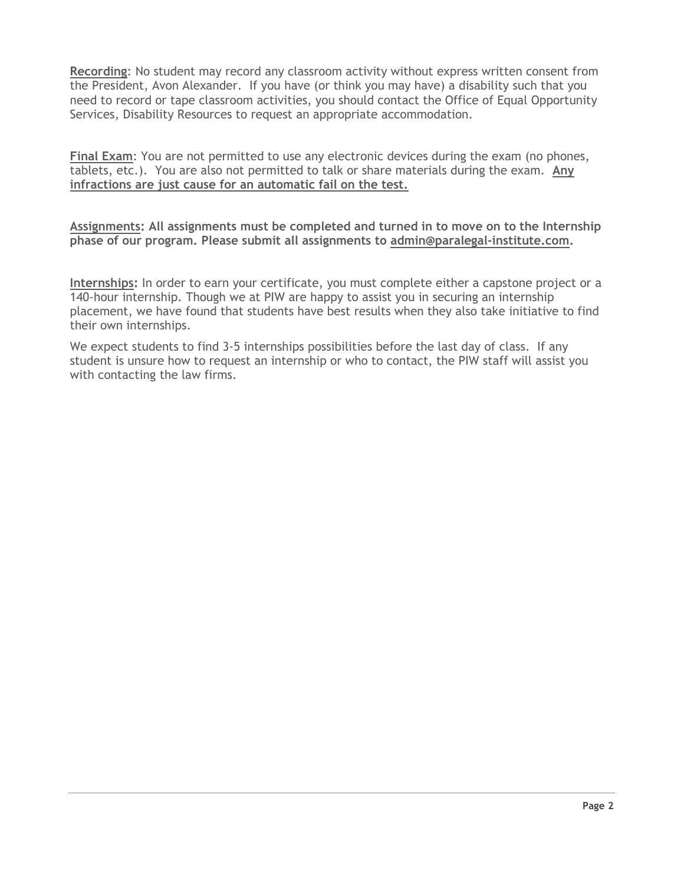**Recording**: No student may record any classroom activity without express written consent from the President, Avon Alexander. If you have (or think you may have) a disability such that you need to record or tape classroom activities, you should contact the Office of Equal Opportunity Services, Disability Resources to request an appropriate accommodation.

**Final Exam**: You are not permitted to use any electronic devices during the exam (no phones, tablets, etc.). You are also not permitted to talk or share materials during the exam. **Any infractions are just cause for an automatic fail on the test.**

**Assignments: All assignments must be completed and turned in to move on to the Internship phase of our program. Please submit all assignments to admin@paralegal-institute.com.**

**Internships:** In order to earn your certificate, you must complete either a capstone project or a 140-hour internship. Though we at PIW are happy to assist you in securing an internship placement, we have found that students have best results when they also take initiative to find their own internships.

We expect students to find 3-5 internships possibilities before the last day of class. If any student is unsure how to request an internship or who to contact, the PIW staff will assist you with contacting the law firms.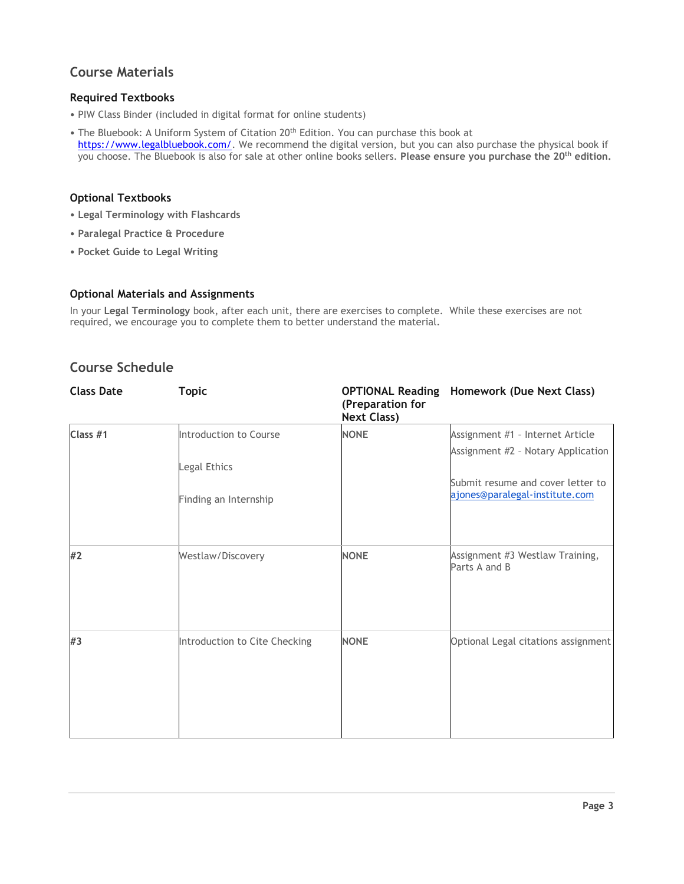# **Course Materials**

## **Required Textbooks**

- PIW Class Binder (included in digital format for online students)
- The Bluebook: A Uniform System of Citation 20<sup>th</sup> Edition. You can purchase this book at [https://www.legalbluebook.com/.](https://www.legalbluebook.com/) We recommend the digital version, but you can also purchase the physical book if you choose. The Bluebook is also for sale at other online books sellers. **Please ensure you purchase the 20th edition.**

#### **Optional Textbooks**

- **Legal Terminology with Flashcards**
- **Paralegal Practice & Procedure**
- **Pocket Guide to Legal Writing**

#### **Optional Materials and Assignments**

In your **Legal Terminology** book, after each unit, there are exercises to complete. While these exercises are not required, we encourage you to complete them to better understand the material.

# **Course Schedule**

| <b>Class Date</b> | <b>Topic</b>                  | (Preparation for<br><b>Next Class)</b> | <b>OPTIONAL Reading Homework (Due Next Class)</b>                   |
|-------------------|-------------------------------|----------------------------------------|---------------------------------------------------------------------|
| Class #1          | Introduction to Course        | <b>NONE</b>                            | Assignment #1 - Internet Article                                    |
|                   |                               |                                        | Assignment #2 - Notary Application                                  |
|                   | Legal Ethics                  |                                        |                                                                     |
|                   | Finding an Internship         |                                        | Submit resume and cover letter to<br>ajones@paralegal-institute.com |
|                   |                               |                                        |                                                                     |
| #2                | Westlaw/Discovery             | <b>NONE</b>                            | Assignment #3 Westlaw Training,<br>Parts A and B                    |
| #3                | Introduction to Cite Checking | <b>NONE</b>                            | Optional Legal citations assignment                                 |
|                   |                               |                                        |                                                                     |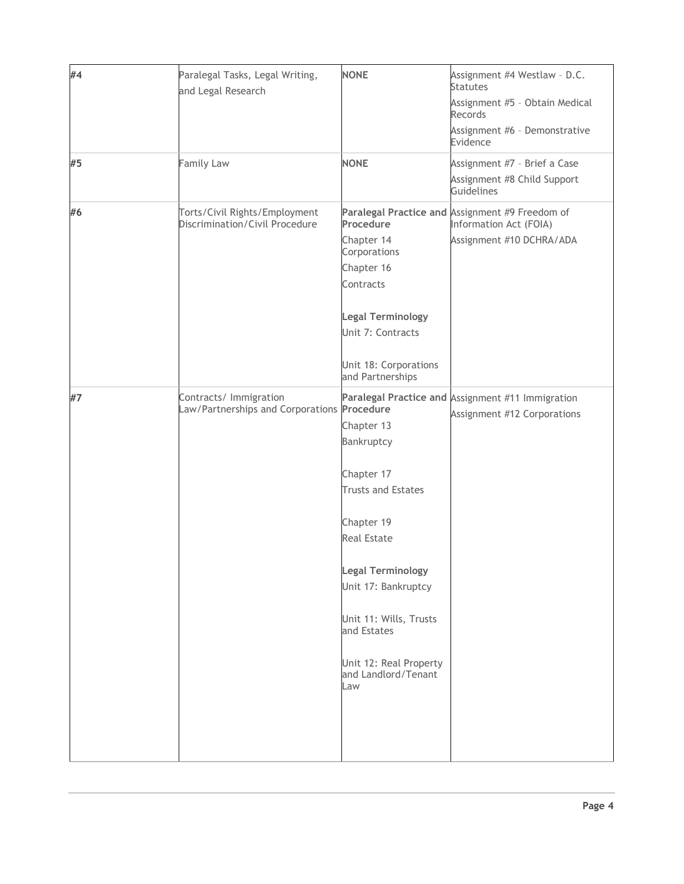| #4 | Paralegal Tasks, Legal Writing,<br>and Legal Research           | <b>NONE</b>                                          | Assignment #4 Westlaw - D.C.<br><b>Statutes</b><br>Assignment #5 - Obtain Medical<br>Records<br>Assignment #6 - Demonstrative |
|----|-----------------------------------------------------------------|------------------------------------------------------|-------------------------------------------------------------------------------------------------------------------------------|
|    |                                                                 |                                                      | Evidence                                                                                                                      |
| #5 | Family Law                                                      | <b>NONE</b>                                          | Assignment #7 - Brief a Case                                                                                                  |
|    |                                                                 |                                                      | Assignment #8 Child Support<br>Guidelines                                                                                     |
| #6 | Torts/Civil Rights/Employment<br>Discrimination/Civil Procedure | Procedure                                            | Paralegal Practice and Assignment #9 Freedom of<br>Information Act (FOIA)                                                     |
|    |                                                                 | Chapter 14<br>Corporations                           | Assignment #10 DCHRA/ADA                                                                                                      |
|    |                                                                 | Chapter 16                                           |                                                                                                                               |
|    |                                                                 | Contracts                                            |                                                                                                                               |
|    |                                                                 |                                                      |                                                                                                                               |
|    |                                                                 | <b>Legal Terminology</b>                             |                                                                                                                               |
|    |                                                                 | Unit 7: Contracts                                    |                                                                                                                               |
|    |                                                                 | Unit 18: Corporations<br>and Partnerships            |                                                                                                                               |
| #7 | Contracts/ Immigration                                          |                                                      | Paralegal Practice and Assignment #11 Immigration                                                                             |
|    | Law/Partnerships and Corporations Procedure                     |                                                      | Assignment #12 Corporations                                                                                                   |
|    |                                                                 | Chapter 13<br>Bankruptcy                             |                                                                                                                               |
|    |                                                                 |                                                      |                                                                                                                               |
|    |                                                                 | Chapter 17                                           |                                                                                                                               |
|    |                                                                 | <b>Trusts and Estates</b>                            |                                                                                                                               |
|    |                                                                 | Chapter 19                                           |                                                                                                                               |
|    |                                                                 | <b>Real Estate</b>                                   |                                                                                                                               |
|    |                                                                 |                                                      |                                                                                                                               |
|    |                                                                 | <b>Legal Terminology</b>                             |                                                                                                                               |
|    |                                                                 | Unit 17: Bankruptcy                                  |                                                                                                                               |
|    |                                                                 | Unit 11: Wills, Trusts<br>and Estates                |                                                                                                                               |
|    |                                                                 | Unit 12: Real Property<br>and Landlord/Tenant<br>Law |                                                                                                                               |
|    |                                                                 |                                                      |                                                                                                                               |
|    |                                                                 |                                                      |                                                                                                                               |
|    |                                                                 |                                                      |                                                                                                                               |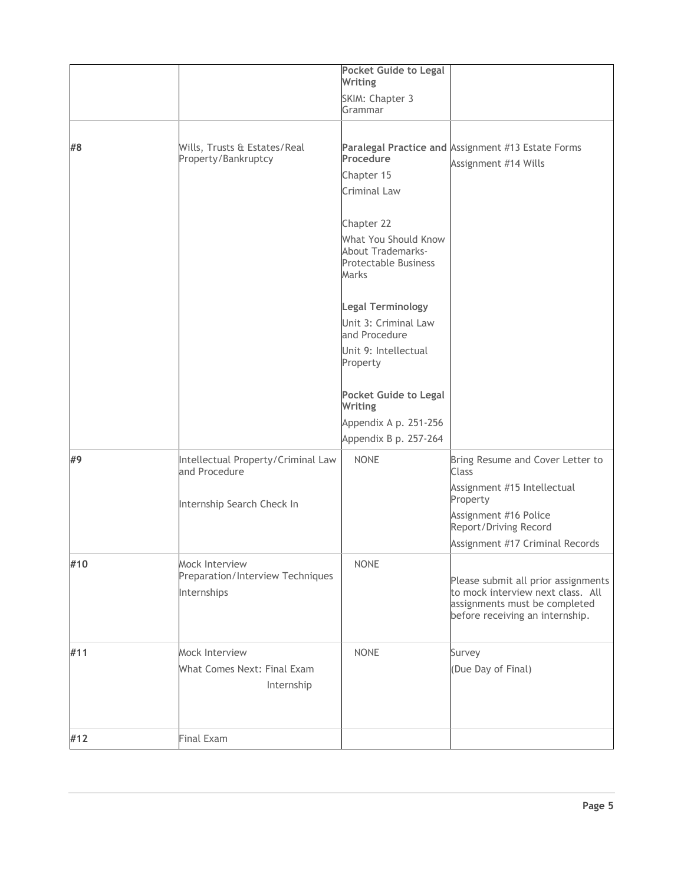|     |                                                     | <b>Pocket Guide to Legal</b><br>Writing                                                         |                                                                                                                                              |
|-----|-----------------------------------------------------|-------------------------------------------------------------------------------------------------|----------------------------------------------------------------------------------------------------------------------------------------------|
|     |                                                     | SKIM: Chapter 3<br>Grammar                                                                      |                                                                                                                                              |
|     |                                                     |                                                                                                 |                                                                                                                                              |
| #8  | Wills, Trusts & Estates/Real<br>Property/Bankruptcy | Procedure<br>Chapter 15                                                                         | Paralegal Practice and Assignment #13 Estate Forms<br>Assignment #14 Wills                                                                   |
|     |                                                     | Criminal Law                                                                                    |                                                                                                                                              |
|     |                                                     |                                                                                                 |                                                                                                                                              |
|     |                                                     | Chapter 22                                                                                      |                                                                                                                                              |
|     |                                                     | What You Should Know<br><b>About Trademarks-</b><br><b>Protectable Business</b><br><b>Marks</b> |                                                                                                                                              |
|     |                                                     | <b>Legal Terminology</b>                                                                        |                                                                                                                                              |
|     |                                                     | Unit 3: Criminal Law<br>and Procedure                                                           |                                                                                                                                              |
|     |                                                     | Unit 9: Intellectual<br>Property                                                                |                                                                                                                                              |
|     |                                                     | <b>Pocket Guide to Legal</b><br>Writing                                                         |                                                                                                                                              |
|     |                                                     | Appendix A p. 251-256                                                                           |                                                                                                                                              |
|     |                                                     | Appendix B p. 257-264                                                                           |                                                                                                                                              |
| #9  | Intellectual Property/Criminal Law<br>and Procedure | <b>NONE</b>                                                                                     | Bring Resume and Cover Letter to<br><b>Class</b>                                                                                             |
|     | Internship Search Check In                          |                                                                                                 | Assignment #15 Intellectual<br>Property                                                                                                      |
|     |                                                     |                                                                                                 | Assignment #16 Police<br>Report/Driving Record                                                                                               |
|     |                                                     |                                                                                                 | Assignment #17 Criminal Records                                                                                                              |
| #10 | Mock Interview                                      | <b>NONE</b>                                                                                     |                                                                                                                                              |
|     | Preparation/Interview Techniques<br>Internships     |                                                                                                 | Please submit all prior assignments<br>to mock interview next class. All<br>assignments must be completed<br>before receiving an internship. |
| #11 | Mock Interview                                      | <b>NONE</b>                                                                                     | Survey                                                                                                                                       |
|     | What Comes Next: Final Exam<br>Internship           |                                                                                                 | (Due Day of Final)                                                                                                                           |
|     |                                                     |                                                                                                 |                                                                                                                                              |
| #12 | Final Exam                                          |                                                                                                 |                                                                                                                                              |